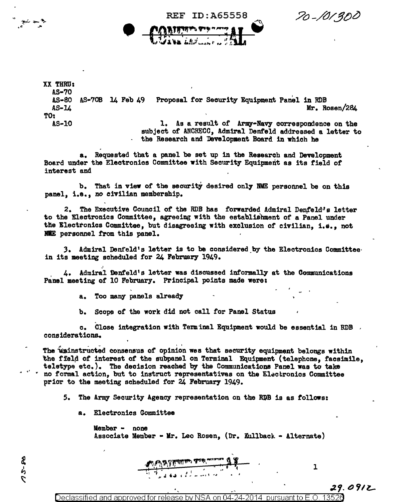70-101300

XX THRU: AS•70 AS-80 AS-70B 14 Feb 49 Proposal for Security Equipment Panel in RDB AS-14 Mr. Rosen/284 TO: AS-10 1. As a result of Army-Navy correspondence on the subject of ANCRECO, Admiral Denfeld addressed a letter to the Research and 'Development Board in which he

**REF ID: A65558** 

a. Requested that a panel be set up in the Research and Development Board under the Electronics Committee with Security Equipment as its tield *ot*  interest and

b. That in view of the security desired only NME personnel be on this panel, i.e., *no* civilian membership.

2. The Executive Council of the RDB has forwarded Admiral Denfeld·' s letter to the Electronics Committee, agreeing with the establishment of a Panel under the Electronics Committee, but disagreeing with exclusion of civilian, i.e., not NNE personnel from this panel.

3. Admiral Denfeld's letter is to be considered\_by the Electronics Committee· in its meeting scheduled for 24 February 1949.

4. Admiral Denfeld's letter was discussed informally at the Communications Panel meeting of 10 February. Principal points made were:

a. Too manr panels alread7

 $\bullet$ 

b. Scope of the work did not call for Panel Status

c. Close integration with Terminal Equipment would be essential in RDB , considerations..

The uninstructed consensus of opinion wes that security equipment belongs within the ffeld of interest of the subpanel on Terminal Equipment (telephone, facsimile, teletype etc.). The decision reached by the Communications Panel was to take no formal action, but to instruct representatives on the Electronics Committee prior to the meeting scheduled for 24 February 1949.

5. The Army Security Agency representation on the RDB is as tollows:

 $\frac{\gamma_1}{\gamma_1}$   $\frac{1}{\gamma_2}$   $\frac{1}{\gamma_3}$   $\frac{1}{\gamma_4}$  ,  $\frac{1}{\gamma_5}$  ,  $\frac{1}{\gamma_6}$  ,  $\frac{1}{\gamma_7}$  ,  $\frac{1}{\gamma_8}$  ,  $\frac{1}{\gamma_8}$ r..1 '1 .j ' ... ' : .. - ...... , ..... • ' - ,,

a. Electronics Gommittee

Member • none Associate Member • Mr. Leo Rosen, (Dr. Kullback - Alternate)

29.0912 Declassified and approved for release by NSA on 04-24-2014 pursuant to E.O

l